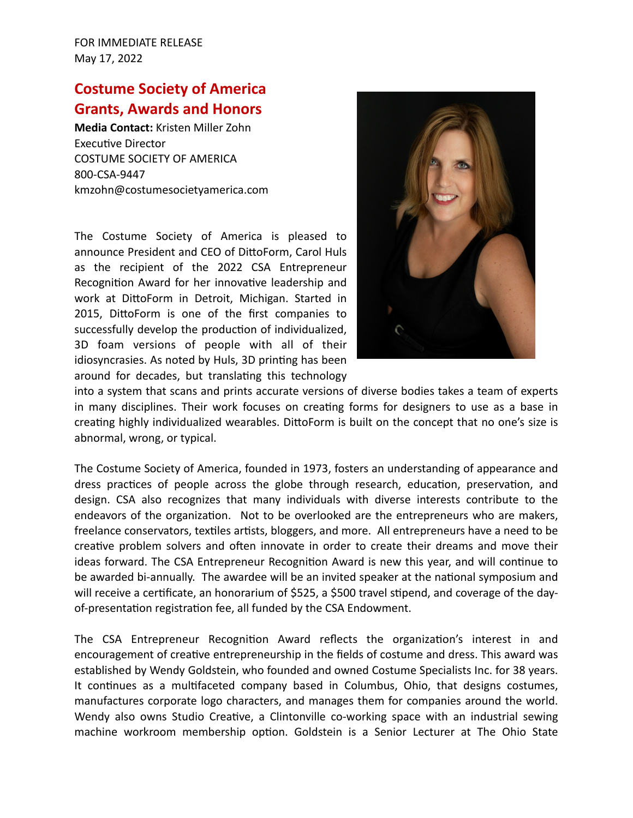## **Costume Society of America Grants, Awards and Honors**

**Media Contact:** Kristen Miller Zohn Executive Director COSTUME SOCIETY OF AMERICA 800-CSA-9447 kmzohn@costumesocietyamerica.com

The Costume Society of America is pleased to announce President and CEO of DittoForm, Carol Huls as the recipient of the 2022 CSA Entrepreneur Recognition Award for her innovative leadership and work at DittoForm in Detroit, Michigan. Started in 2015, DittoForm is one of the first companies to successfully develop the production of individualized, 3D foam versions of people with all of their idiosyncrasies. As noted by Huls, 3D printing has been around for decades, but translating this technology



into a system that scans and prints accurate versions of diverse bodies takes a team of experts in many disciplines. Their work focuses on creating forms for designers to use as a base in creating highly individualized wearables. DittoForm is built on the concept that no one's size is abnormal, wrong, or typical.

The Costume Society of America, founded in 1973, fosters an understanding of appearance and dress practices of people across the globe through research, education, preservation, and design. CSA also recognizes that many individuals with diverse interests contribute to the endeavors of the organization. Not to be overlooked are the entrepreneurs who are makers, freelance conservators, textiles artists, bloggers, and more. All entrepreneurs have a need to be creative problem solvers and often innovate in order to create their dreams and move their ideas forward. The CSA Entrepreneur Recognition Award is new this year, and will continue to be awarded bi-annually. The awardee will be an invited speaker at the national symposium and will receive a certificate, an honorarium of \$525, a \$500 travel stipend, and coverage of the dayof-presentation registration fee, all funded by the CSA Endowment.

The CSA Entrepreneur Recognition Award reflects the organization's interest in and encouragement of creative entrepreneurship in the fields of costume and dress. This award was established by Wendy Goldstein, who founded and owned Costume Specialists Inc. for 38 years. It continues as a multifaceted company based in Columbus, Ohio, that designs costumes, manufactures corporate logo characters, and manages them for companies around the world. Wendy also owns Studio Creative, a Clintonville co-working space with an industrial sewing machine workroom membership option. Goldstein is a Senior Lecturer at The Ohio State